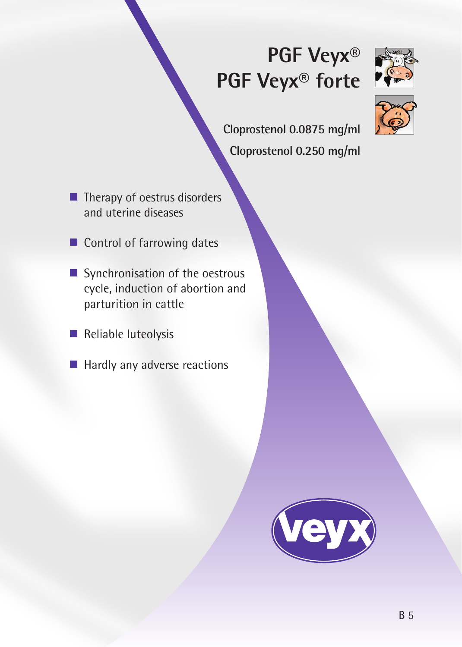# **PGF Veyx® PGF Veyx® forte**



**Cloprostenol 0.0875 mg/ml Cloprostenol 0.250 mg/ml**

- $\blacksquare$  Therapy of oestrus disorders and uterine diseases
- Control of farrowing dates
- Synchronisation of the oestrous cycle, induction of abortion and parturition in cattle
- Reliable luteolysis
- **Hardly any adverse reactions**

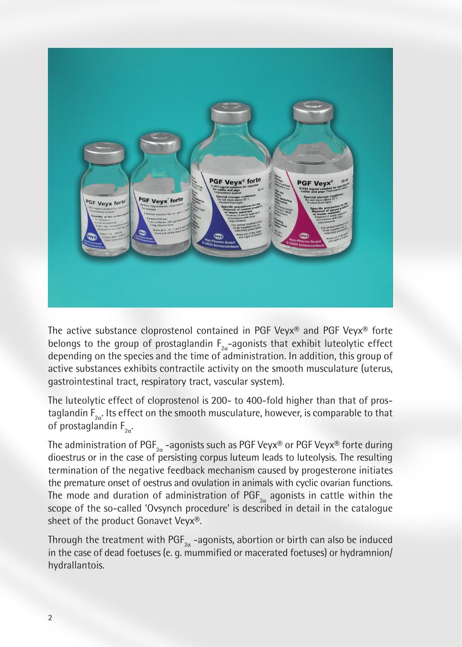

The active substance cloprostenol contained in PGF Veyx® and PGF Veyx® forte belongs to the group of prostaglandin  $F_{2\alpha}$ -agonists that exhibit luteolytic effect depending on the species and the time of administration. In addition, this group of active substances exhibits contractile activity on the smooth musculature (uterus, gastrointestinal tract, respiratory tract, vascular system).

The luteolytic effect of cloprostenol is 200- to 400-fold higher than that of prostaglandin  $\mathsf{F}_\mathsf{2\alpha}.$  Its effect on the smooth musculature, however, is comparable to that of prostaglandin  $\mathsf{F}_{\mathsf{2}\alpha}$ .

The administration of  $\mathsf{PGF}_{\mathsf{2a}}$  –agonists such as PGF Veyx® or PGF Veyx® forte during dioestrus or in the case of persisting corpus luteum leads to luteolysis. The resulting termination of the negative feedback mechanism caused by progesterone initiates the premature onset of oestrus and ovulation in animals with cyclic ovarian functions. The mode and duration of administration of  $\mathsf{PGF}_{\mathsf{2\alpha}}$  agonists in cattle within the scope of the so-called 'Ovsynch procedure' is described in detail in the catalogue sheet of the product Gonavet Veyx®.

Through the treatment with  $\mathsf{PGF}_{2\alpha}$  -agonists, abortion or birth can also be induced in the case of dead foetuses (e. g. mummified or macerated foetuses) or hydramnion/ hydrallantois.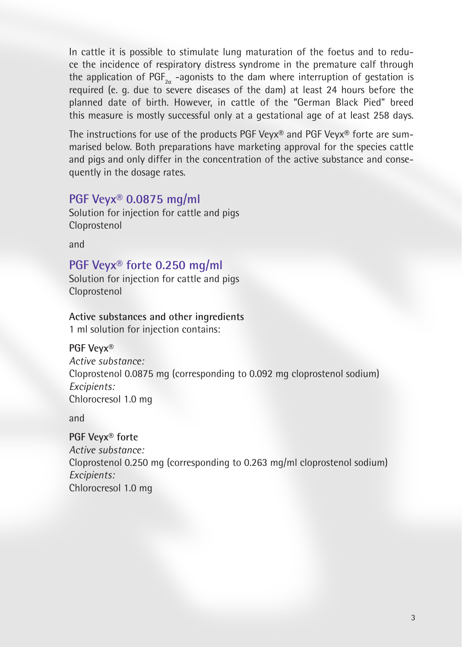In cattle it is possible to stimulate lung maturation of the foetus and to reduce the incidence of respiratory distress syndrome in the premature calf through the application of  $PGF_{2\alpha}$  -agonists to the dam where interruption of gestation is required (e. g. due to severe diseases of the dam) at least 24 hours before the planned date of birth. However, in cattle of the "German Black Pied" breed this measure is mostly successful only at a gestational age of at least 258 days.

The instructions for use of the products PGF Veyx® and PGF Veyx® forte are summarised below. Both preparations have marketing approval for the species cattle and pigs and only differ in the concentration of the active substance and consequently in the dosage rates.

## **PGF Veyx® 0.0875 mg/ml**

Solution for injection for cattle and pigs Cloprostenol

and

**PGF Veyx® forte 0.250 mg/ml**

Solution for injection for cattle and pigs Cloprostenol

**Active substances and other ingredients**

1 ml solution for injection contains:

**PGF Veyx®**

*Active substance:* Cloprostenol 0.0875 mg (corresponding to 0.092 mg cloprostenol sodium) *Excipients:* Chlorocresol 1.0 mg

and

**PGF Veyx® forte** *Active substance:* Cloprostenol 0.250 mg (corresponding to 0.263 mg/ml cloprostenol sodium) *Excipients:* Chlorocresol 1.0 mg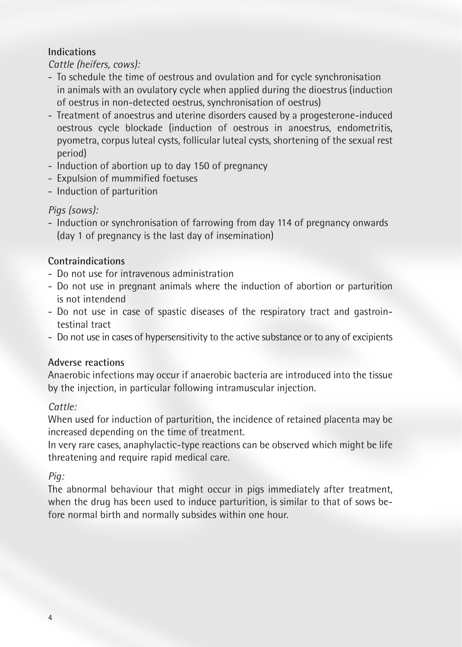## **Indications**

*Cattle (heifers, cows):*

- To schedule the time of oestrous and ovulation and for cycle synchronisation in animals with an ovulatory cycle when applied during the dioestrus (induction of oestrus in non-detected oestrus, synchronisation of oestrus)
- Treatment of anoestrus and uterine disorders caused by a progesterone-induced oestrous cycle blockade (induction of oestrous in anoestrus, endometritis, pyometra, corpus luteal cysts, follicular luteal cysts, shortening of the sexual rest period)
- Induction of abortion up to day 150 of pregnancy
- Expulsion of mummified foetuses
- Induction of parturition

# *Pigs (sows):*

- Induction or synchronisation of farrowing from day 114 of pregnancy onwards (day 1 of pregnancy is the last day of insemination)

# **Contraindications**

- Do not use for intravenous administration
- Do not use in pregnant animals where the induction of abortion or parturition is not intendend
- Do not use in case of spastic diseases of the respiratory tract and gastrointestinal tract
- Do not use in cases of hypersensitivity to the active substance or to any of excipients

# **Adverse reactions**

Anaerobic infections may occur if anaerobic bacteria are introduced into the tissue by the injection, in particular following intramuscular injection.

# *Cattle:*

When used for induction of parturition, the incidence of retained placenta may be increased depending on the time of treatment.

In very rare cases, anaphylactic-type reactions can be observed which might be life threatening and require rapid medical care.

# *Pig:*

The abnormal behaviour that might occur in pigs immediately after treatment, when the drug has been used to induce parturition, is similar to that of sows before normal birth and normally subsides within one hour.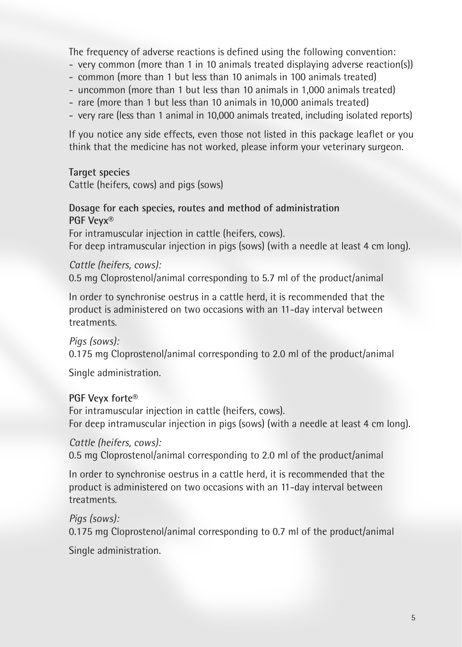The frequency of adverse reactions is defined using the following convention:

- very common (more than 1 in 10 animals treated displaying adverse reaction(s))
- common (more than 1 but less than 10 animals in 100 animals treated)
- uncommon (more than 1 but less than 10 animals in 1,000 animals treated)
- rare (more than 1 but less than 10 animals in 10,000 animals treated)
- very rare (less than 1 animal in 10,000 animals treated, including isolated reports)

If you notice any side effects, even those not listed in this package leaflet or you think that the medicine has not worked, please inform your veterinary surgeon.

## **Target species**

Cattle (heifers, cows) and pigs (sows)

#### **Dosage for each species, routes and method of administration PGF Veyx®**

For intramuscular injection in cattle (heifers, cows). For deep intramuscular injection in pigs (sows) (with a needle at least 4 cm long).

## *Cattle (heifers, cows):*

0.5 mg Cloprostenol/animal corresponding to 5.7 ml of the product/animal

In order to synchronise oestrus in a cattle herd, it is recommended that the product is administered on two occasions with an 11-day interval between treatments.

*Pigs (sows):* 0.175 mg Cloprostenol/animal corresponding to 2.0 ml of the product/animal

Single administration.

## **PGF Veyx forte®**

For intramuscular injection in cattle (heifers, cows). For deep intramuscular injection in pigs (sows) (with a needle at least 4 cm long).

## *Cattle (heifers, cows):*

0.5 mg Cloprostenol/animal corresponding to 2.0 ml of the product/animal

In order to synchronise oestrus in a cattle herd, it is recommended that the product is administered on two occasions with an 11-day interval between treatments.

*Pigs (sows):*

0.175 mg Cloprostenol/animal corresponding to 0.7 ml of the product/animal

Single administration.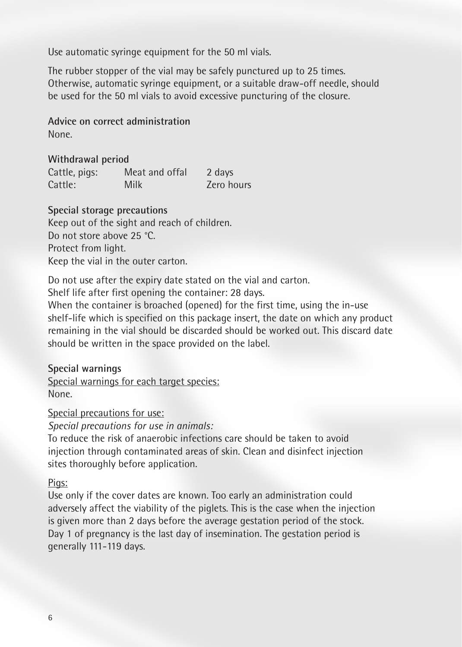Use automatic syringe equipment for the 50 ml vials.

The rubber stopper of the vial may be safely punctured up to 25 times. Otherwise, automatic syringe equipment, or a suitable draw-off needle, should be used for the 50 ml vials to avoid excessive puncturing of the closure.

**Advice on correct administration** None.

**Withdrawal period** Cattle, pigs: Meat and offal 2 days Cattle: Milk Zero hours

**Special storage precautions** Keep out of the sight and reach of children. Do not store above 25 °C. Protect from light. Keep the vial in the outer carton.

Do not use after the expiry date stated on the vial and carton.

Shelf life after first opening the container: 28 days.

When the container is broached (opened) for the first time, using the in-use shelf-life which is specified on this package insert, the date on which any product remaining in the vial should be discarded should be worked out. This discard date should be written in the space provided on the label.

**Special warnings** Special warnings for each target species: None.

Special precautions for use:

*Special precautions for use in animals:*

To reduce the risk of anaerobic infections care should be taken to avoid injection through contaminated areas of skin. Clean and disinfect injection sites thoroughly before application.

#### Pigs:

Use only if the cover dates are known. Too early an administration could adversely affect the viability of the piglets. This is the case when the injection is given more than 2 days before the average gestation period of the stock. Day 1 of pregnancy is the last day of insemination. The gestation period is generally 111-119 days.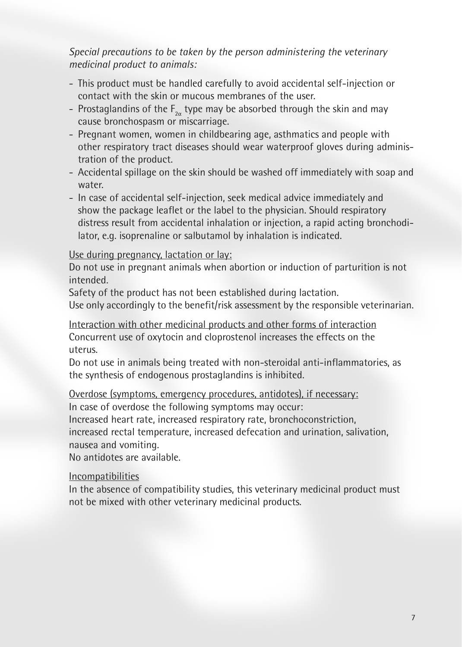*Special precautions to be taken by the person administering the veterinary medicinal product to animals:*

- This product must be handled carefully to avoid accidental self-injection or contact with the skin or mucous membranes of the user.
- Prostaglandins of the  $\mathsf{F}_{\mathsf{2}\alpha}$  type may be absorbed through the skin and may cause bronchospasm or miscarriage.
- Pregnant women, women in childbearing age, asthmatics and people with other respiratory tract diseases should wear waterproof gloves during administration of the product.
- Accidental spillage on the skin should be washed off immediately with soap and water.
- In case of accidental self-injection, seek medical advice immediately and show the package leaflet or the label to the physician. Should respiratory distress result from accidental inhalation or injection, a rapid acting bronchodilator, e.g. isoprenaline or salbutamol by inhalation is indicated.

## Use during pregnancy, lactation or lay:

Do not use in pregnant animals when abortion or induction of parturition is not intended.

Safety of the product has not been established during lactation.

Use only accordingly to the benefit/risk assessment by the responsible veterinarian.

Interaction with other medicinal products and other forms of interaction Concurrent use of oxytocin and cloprostenol increases the effects on the uterus.

Do not use in animals being treated with non-steroidal anti-inflammatories, as the synthesis of endogenous prostaglandins is inhibited.

## Overdose (symptoms, emergency procedures, antidotes), if necessary:

In case of overdose the following symptoms may occur:

Increased heart rate, increased respiratory rate, bronchoconstriction,

increased rectal temperature, increased defecation and urination, salivation, nausea and vomiting.

No antidotes are available.

#### Incompatibilities

In the absence of compatibility studies, this veterinary medicinal product must not be mixed with other veterinary medicinal products.